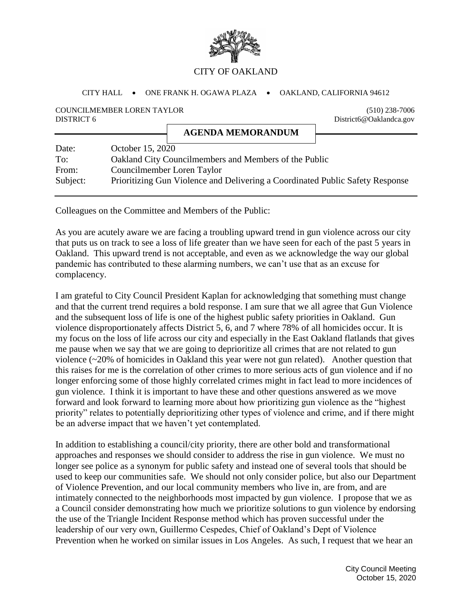

## CITY OF OAKLAND

## CITY HALL . ONE FRANK H. OGAWA PLAZA . OAKLAND, CALIFORNIA 94612

**AGENDA MEMORANDUM**

## COUNCILMEMBER LOREN TAYLOR (510) 238-7006 DISTRICT 6 District6@Oaklandca.gov

| Date:    | October 15, 2020                                                              |
|----------|-------------------------------------------------------------------------------|
| To:      | Oakland City Councilmembers and Members of the Public                         |
| From:    | Councilmember Loren Taylor                                                    |
| Subject: | Prioritizing Gun Violence and Delivering a Coordinated Public Safety Response |

Colleagues on the Committee and Members of the Public:

As you are acutely aware we are facing a troubling upward trend in gun violence across our city that puts us on track to see a loss of life greater than we have seen for each of the past 5 years in Oakland. This upward trend is not acceptable, and even as we acknowledge the way our global pandemic has contributed to these alarming numbers, we can't use that as an excuse for complacency.

I am grateful to City Council President Kaplan for acknowledging that something must change and that the current trend requires a bold response. I am sure that we all agree that Gun Violence and the subsequent loss of life is one of the highest public safety priorities in Oakland. Gun violence disproportionately affects District 5, 6, and 7 where 78% of all homicides occur. It is my focus on the loss of life across our city and especially in the East Oakland flatlands that gives me pause when we say that we are going to deprioritize all crimes that are not related to gun violence (~20% of homicides in Oakland this year were not gun related). Another question that this raises for me is the correlation of other crimes to more serious acts of gun violence and if no longer enforcing some of those highly correlated crimes might in fact lead to more incidences of gun violence. I think it is important to have these and other questions answered as we move forward and look forward to learning more about how prioritizing gun violence as the "highest priority" relates to potentially deprioritizing other types of violence and crime, and if there might be an adverse impact that we haven't yet contemplated.

In addition to establishing a council/city priority, there are other bold and transformational approaches and responses we should consider to address the rise in gun violence. We must no longer see police as a synonym for public safety and instead one of several tools that should be used to keep our communities safe. We should not only consider police, but also our Department of Violence Prevention, and our local community members who live in, are from, and are intimately connected to the neighborhoods most impacted by gun violence. I propose that we as a Council consider demonstrating how much we prioritize solutions to gun violence by endorsing the use of the Triangle Incident Response method which has proven successful under the leadership of our very own, Guillermo Cespedes, Chief of Oakland's Dept of Violence Prevention when he worked on similar issues in Los Angeles. As such, I request that we hear an